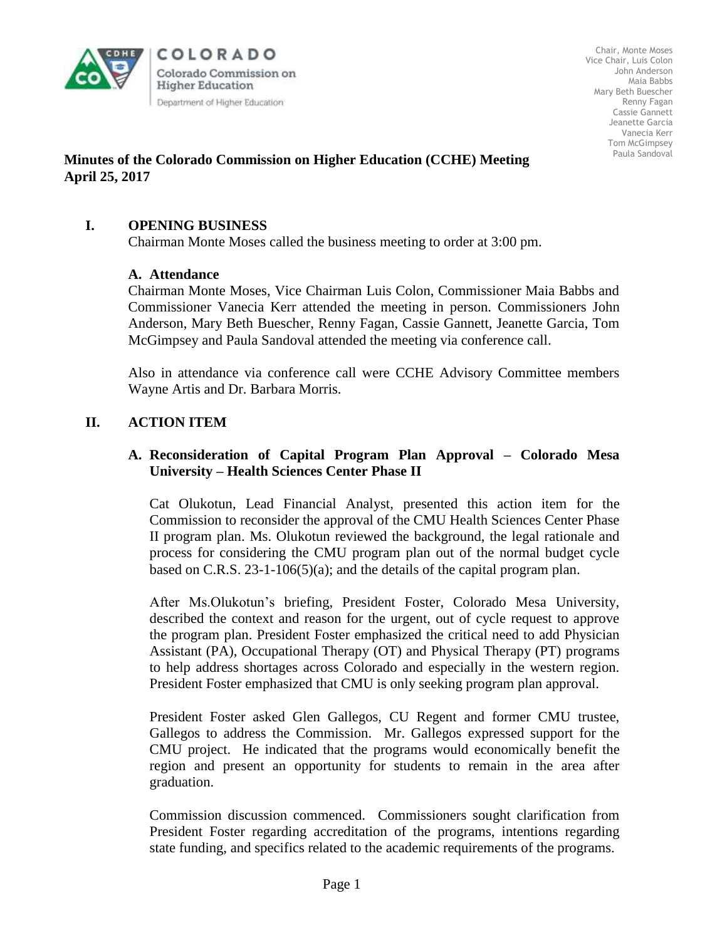

COLORADO Colorado Commission on **Higher Education** Department of Higher Education

Chair, Monte Moses Vice Chair, Luis Colon John Anderson Maia Babbs Mary Beth Buescher Renny Fagan Cassie Gannett Jeanette Garcia Vanecia Kerr Tom McGimpsey Paula Sandoval

## **Minutes of the Colorado Commission on Higher Education (CCHE) Meeting April 25, 2017**

# **I. OPENING BUSINESS**

Chairman Monte Moses called the business meeting to order at 3:00 pm.

### **A. Attendance**

Chairman Monte Moses, Vice Chairman Luis Colon, Commissioner Maia Babbs and Commissioner Vanecia Kerr attended the meeting in person. Commissioners John Anderson, Mary Beth Buescher, Renny Fagan, Cassie Gannett, Jeanette Garcia, Tom McGimpsey and Paula Sandoval attended the meeting via conference call.

Also in attendance via conference call were CCHE Advisory Committee members Wayne Artis and Dr. Barbara Morris.

# **II. ACTION ITEM**

## **A. Reconsideration of Capital Program Plan Approval – Colorado Mesa University – Health Sciences Center Phase II**

Cat Olukotun, Lead Financial Analyst, presented this action item for the Commission to reconsider the approval of the CMU Health Sciences Center Phase II program plan. Ms. Olukotun reviewed the background, the legal rationale and process for considering the CMU program plan out of the normal budget cycle based on C.R.S. 23-1-106(5)(a); and the details of the capital program plan.

After Ms.Olukotun's briefing, President Foster, Colorado Mesa University, described the context and reason for the urgent, out of cycle request to approve the program plan. President Foster emphasized the critical need to add Physician Assistant (PA), Occupational Therapy (OT) and Physical Therapy (PT) programs to help address shortages across Colorado and especially in the western region. President Foster emphasized that CMU is only seeking program plan approval.

President Foster asked Glen Gallegos, CU Regent and former CMU trustee, Gallegos to address the Commission. Mr. Gallegos expressed support for the CMU project. He indicated that the programs would economically benefit the region and present an opportunity for students to remain in the area after graduation.

Commission discussion commenced. Commissioners sought clarification from President Foster regarding accreditation of the programs, intentions regarding state funding, and specifics related to the academic requirements of the programs.